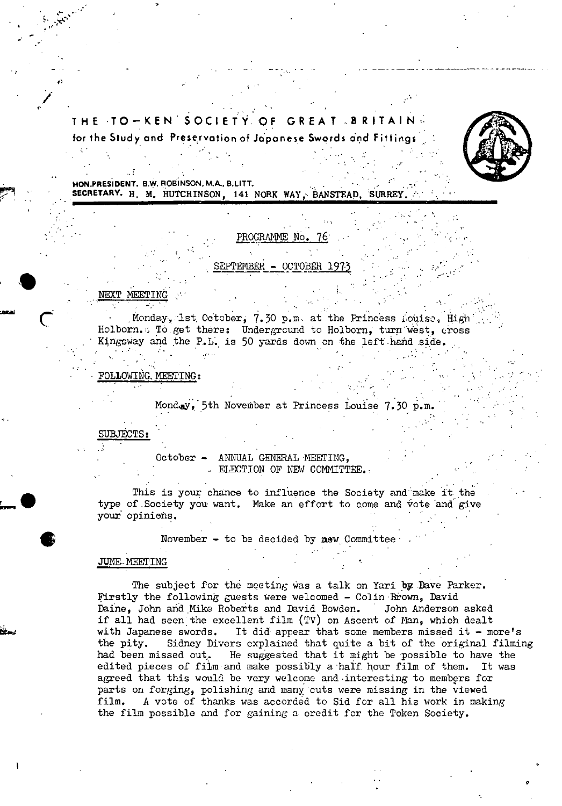# **THE TO—KENSOCIETY.QF GREAT.BRtTAIN.**  for the Study and Preservation of Japanese Swords and Fittings



0

**HON PRESIDENT. B.W. ROBINSON, M.A., B.LITT. SECRETARY. H. M. HUTCHINSON, 141 NORK WAY, BANSTEAD, SURREY** 

### PROGRAMME No.

EPTEMBER - OCTOBER 197

### NEXT MEETING

t

*I* 

 $\begin{array}{c} \bullet \\ \bullet \end{array}$ 

Monday, 1st October, 7.30 p.m. at the Princess Louise, High Holborn. To get there: Underground to Holborn, turn west, cross Kingsway and the P.L. is 50 yards down on the left hand side.

### FOLLOWtNG. MEETING

Monday, 5th November at Princess Louise 7.30 p.m.

## SUBJECTS:

October - ANNUAL GENERAL MEETING, • ELECTION OF NEW COMMITTEE..

This is your chance to influence the Society and make it the type of Society you want. Make an effort to come and vote and give your opinions.

November  $-$  to be decided by  $new$  Committee

### JUNE MEETING

The subject for the meeting was a talk on Yari by Dave Parker. Firstly the following guests were welcomed - Colin Brown, David Daine, John and Mike Roberts and David Bowden. John Anderson asked if all had seen the excellent film (TV) on AScent of Man, which dealt with Japanese swords. It did appear that some members missed it  $-$  more's the pity. Sidney Divers explained that quite a bit of the original filming had been missed out. He suggested that it might be possible to have the edited pieces of film and make possibly a half hour film of them. It was agreed that this would be very welcome and interesting to members for parts on forging, polishing and many cuts were missing in the viewed film. A vote of thanks was accorded to Sid for all his work in making the film possible and for gaining a credit for the Token Society.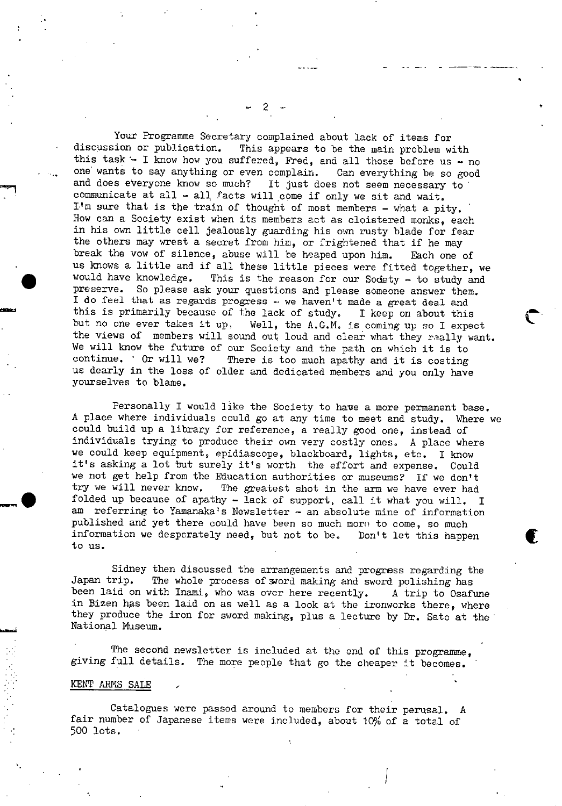Your Programme Secretary complained about lack of items for discussion or publication. This appears to be the main problem w This appears to be the main problem with this task  $-$  I know how you suffered, Fred, and all those before us - no one wants to say anything or even complain. Can everything be so good and does everyone know so much? It just does not seem necessary to communicate at all  $-$  all facts will come if only we sit and wait.  $I<sup>1</sup>$ m sure that is the train of thought of most members - what a pity. How can a Society exist when its members act as cloistered monks, each in his own little cell jealously guarding his own rusty blade for fear the others may wrest a secret from him, or frightened that if he may break the vow of silence, abuse will be heaped upon him. Each one of us knows a little and if all these little pieces were fitted together, we would have knowledge. This is the reason for our Society - to study and This is the reason for our Sodety - to study and preserve. So please ask your questions and please someone answer them. I do feel that as regards progress -. we haven't made a great deal and this is primarily because of the lack of study. I keep on about this but no one ever takes it up, Well, the A.G.M. is coming up so I exped Well, the A.G.M. is coming up so I expect the views of members will sound out loud and clear what they really want. We will know the future of our Society and the path on which it is to continue. Or will we? There is too much apathy and it is costing us dearly in the loss of older and dedicated members and you only have yourselves to blame.

Personally I would like the Society to have a more permanent base. A place where individuals could go at any time to meet and study. Where we could build up a library for reference, a really good one, instead of individuals trying to produce their own very costly ones. A place where we could keep equipment, epidiascope, blackboard, lights, etc. I know it's asking a lot but surely it's worth the effort and expense. Could we not get help from the Education authorities or museums? If we don't<br>try we will never know. The greatest shot in the arm we have ever had The greatest shot in the arm we have ever had folded up because of apathy - lack of support, call it what you will. I am referring to Yamanaka's Newsletter - an absolute mine of information published and yet there could have been so much moru to come, so much information we desperately need, but not to be. Don't let this happen to us.

Sidney then discussed the arrangements and progress regarding the Japan trip. The whole process of word making and sword polishing has The whole process of sword making and sword polishing has been laid on with Inami, who was over here recently. A trip to Osafune in Bizen has been laid on as well as a look at the ironworks there, where they produce the iron for sword making, plus a lecture by Dr. Sato at the National Museum.

The second newsletter is included at the end of this programme, giving full details. The more people that go the cheaper it becomes.

### KENT ARMS SALE

J

Catalogues were passed around to members for their perusal. A fair number of Japanese items were included, about 10% of a total of 500 lots.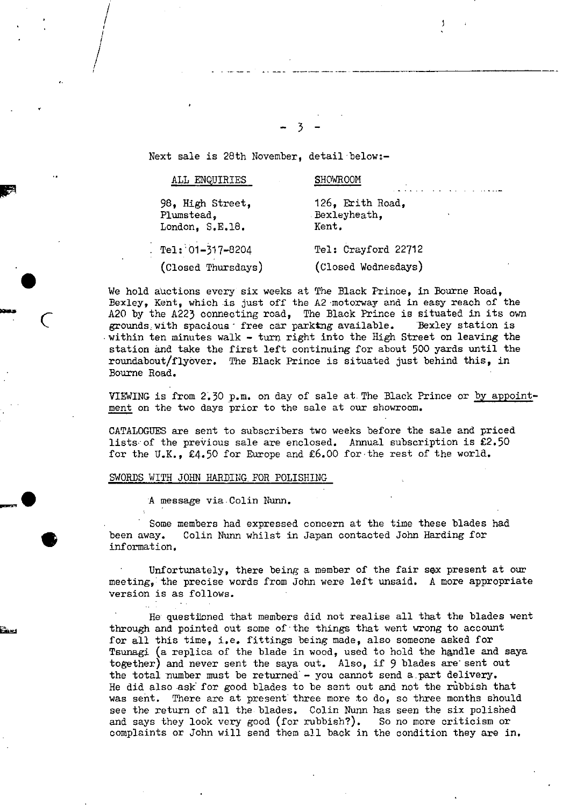Next sale is 28th November, detail below:-

r

/ /

/

| $\ddot{\phantom{1}}$ | ALL ENQUIRIES                                     | <b>SHOWROOM</b>                           |
|----------------------|---------------------------------------------------|-------------------------------------------|
|                      | 98, High Street,<br>Plumstead.<br>London, S.E.18. | 126, Erith Road,<br>Bexleyheath,<br>Kent. |
| $\bullet$            | Tel: 01-317-8204                                  | Tel: Crayford 22712                       |
|                      | (Closed Thursdays)                                | (Closed Wednesdays)                       |

 $-3-$ 

We hold auctions every six weeks at The Black Prince, in Bourne Road, Bexley, Kent, which is just off the A2 motorway and in easy reach of the A20 by the A223 connecting road, The Black Prince is situated in its own grounds with spacious: free car parktng available. Bexley station is grounds with spacious. free car parktng available. Bexley station is within ten minutes walk - turn right into the High Street on leaving the station and take the first left continuing for about 500 yards until the roundabout/flyover. The Black Prince is situated just behind this, in Bourne Road.

> VIEWING is from 2.30 p.m. on day of sale at The Black Prince or by appointment on the two days prior to the sale at our showroom.

CATALOGUES are sent to subscribers two weeks before the sale and priced lists of the previous sale are enclosed. Annual subscription is  $£2.50$ for the U.K., £4.50 for Europe and £6.00 for the rest of the world.

#### SWORDS WITH JOHN HARDING FOR POLISHING

A message via Colin Nunn.

Some members had expressed concern at the time these blades had been away. Colin Nunn whilst in Japan contacted John Harding for information.

Unfortunately, there being a member of the fair sex present at our meeting, the precise words from John were left unsaid. A more appropriate version is as follows.

He questioned that members did not realise all that the blades went through and pointed out some of the things that went wrong to account for all this time, i.e. fittings being made, also someone asked for Tsunagi (a replica of the blade in wood, used to hold the handle and saya together) and never sent the saya out. Also, if 9 blades are sent out the total number must be returned  $-$  you cannot send a part delivery. He did also ask for good blades to be sent out and not the rubbish that was sent. There are at present three more to do, so three months should see the return of all the blades. Colin Nunn has seen the six polished and says they look very good (for rubbish?). So no more criticism or complaints or John will send them all back in the condition they are in.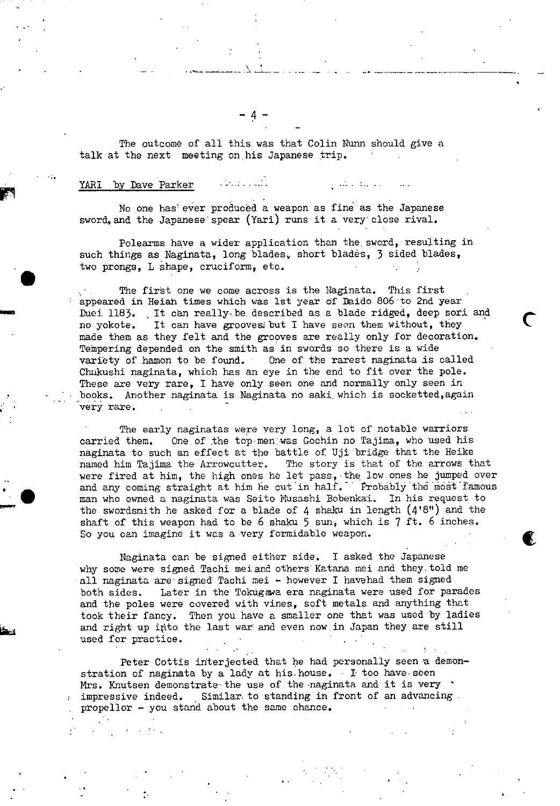The outcome of all this was that Colin Nunn should give a talk at the next meeting on his Japanese trip.

## YARI by Dave Parker ...........

No one has ever produced a weapon as fine as the Japanese sword, and the Japanese' spear (Yari) runs it a very close rival.

Polearms have a wider application than the, sword, resulting in such things as Naginata, long blades, short blades, 3 sided blades, two prongs, L shape, cruciform, etc.

بالمناطق المناشرة

The first one we come across is the Naginata. This first appeared in Heiah times which was 1st year of Daido 806 to 2nd year Duei. 1183. It can really be described as a blade ridged, deep sori and no yokote. It can have groovesi but I have sem them without, they made them as they felt and the grooves are really only for decoration. Tempering depended on the smith as in swords so there is a wide variety of hamon to be found. One of the rarest naginata is called Chukushi naginata, which has an eye in the end to fit over the pole. These are very rare, I have only seen one and normally only seen in books. Another naginata is Naginata no saki. which is socketted,again very rare.

The early naginatas were very long, a lot of notable warriors carried them. One of the top men was Gochin no Tajima, who used his naginata to such an effect at the battle of Uji bridge that the Heike named him Pajima the Arrowcutter. The story is that of the arrows that were fired at him, the high ones he let pass, the low ones he jumped over and any coming straight at him he cut in half. Probably the most famous man who owned a naginata was Seito Nusashi Bobenkai, In his request to the swordsmith he asked for a blade of 4 shaku in length (4'8") and the shaft of this weapon had to be 6 shaku 5 sun, which is 7 ft. 6 inches. So you can imagine it was a very formidable weapon.

Naginata can be signed either side. I asked the Japanese why some were signed Tachi mei and others Katana mel and they. told me all naginata are signed Tachi mei - however I havehad them signed both sides. Later in the Tokugawa era naginata were used for parades and the poles were covered with vines, soft metals and anything that took their fancy. Then you have a smaller one that was used by ladies and right up into the last war and even now in Japan they are still used for practice.

Peter Cottis interjected that he had personally seen a demonstration of naginata by a lady at his house. I too have seen Mrs. Knutsen demonstrate the use of the naginata and it is very impressive indeed. Similar. to standing in front of an advancing propellor - you stand about the same chance.

 $- 4 -$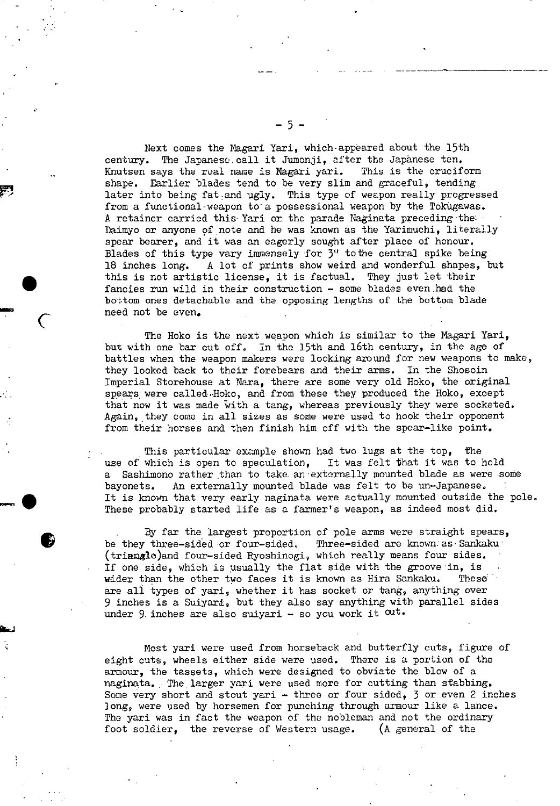Next comes the Nagari Yari, which-appeared about the 15th century. The Japaneso. call it Jumonji, after the Japanese ten. Knutsen says the real name is Nagari yari. This is the cruciform shape. Earlier blades tend to be very slim and graceful, tending later into being fat and ugly. This type of weapon really progressed from a functional-weapon to a possessional weapon by the Tokugawas. A retainer carried this Yari or the parade Naginata preceding-the: Daimyo or anyone of note and he was known as the Yarimuchi, literally spear bearer, and it was an eagerly sought after place of honour. Blades of this type vary immensely for  $3''$  to the central spike being 18 inches long. A lot of prints show weird and wonderful shapes, A lot of prints show weird and wonderful shapes, but this is not artistic license, it is factual. They just let their fancies run wild in their construction - some blades even had the bottom ones detachable and the opposing lengths of the bottom blade need not be even.

**S** 

The Hoko is the next weapon which is similar to the Magari Yari, but with one bar cut off. In the 15th and 16th century, in the age of battles when the weapon makers were looking around for new weapons to make, they looked back to their forebears and their arms. In the Shosoin Imperial Storehouse at Nara, there are some very old Hoko, the original spears were called-.Hoko, and from these they produced the Hoko, except that now it was made with a tang, whereas previously they were socketed. Again, they come in all sizes as some were used to hook their opponent from their horses and then finish him off with the spear-like point.

This particular example shown had two lugs at the top. the use of which is open to speculation, It was felt that it was to hold a Sashimono rather than to take an externally mounted blade as were some bayonets. An externally mounted blade was felt to be un-Japanese. It is known that very early naginata were actually mounted outside the pole. These probably started life as a farmer's weapon, as indeed most did.

By far the largest proportion of pole arms were straight spears, be they three-sided or four-sided. Three-sided are known: as Sankaku (triangle)and four-sided Ryoshinogi, which really means four sides. If one side, which is usually the flat side with the groove in, is wider than the other two faces it is known as Hira Sankaku. These are all types of yari, whether it has socket or tang, anything over 9 inches is a Sulyari, but they also say anything with parallel sides under 9 inches are also suiyari  $-$  so you work it  $\alpha$ ut.

Most yari were used from horseback and butterfly cuts, figure of eight cuts, wheels either side were used. There is a portion of the armour, the tassets, which were designed to obviate the blow of a naginata. The larger yari were used more for cutting than stabbing. Some very short and stout yari - three or four sided, 3 or even 2 inches long, were used by horsemen for punching through armour like a lance. The yari was in fact the weapon of the nobleman and not the ordinary foot soldier, the reverse of Western usage. (A general of the

 $-5-$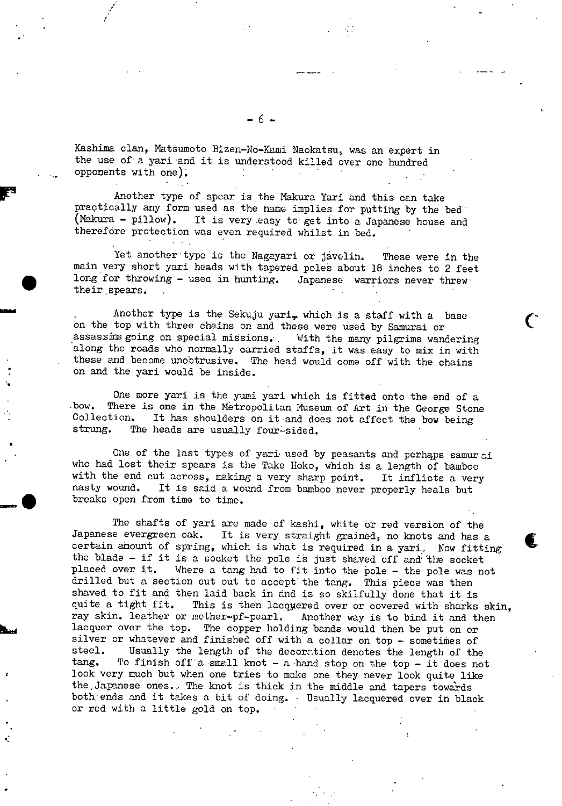Kashima clan, Matsumoto Bizen-No-Kami Naokatsu, was an expert in the use of a yari and it is understood killed over one hundred opponents with one).

Another type of spear is the Makura Yari and this can take practically any form used as the name implies for putting by the bed (Nakura - pillow). It is very easy to get into a Japanese house and therefore protection was even required whilst in bed.

Yet another type is the Nagayari or javelin. These were in the main very short yari heads with tapered poles about 18 inches to 2 feet long for throwing - usea in hunting. Japanese warriors never threw their spears.

Another type is the Sekuju yari, which is a staff with a base on the top with three chains on and these were used by Samurai or assassins going on special missions. With the many pilgrims wandering along the roads who normally carried staffs, it was easy to mix in with these and become unobtrusive. The head would come off with the chains on and the yari would be inside.

One more yari is the yumi yari which is fitted onto the end of a bow. There is one in the Metropolitan Museum of Art in the George Stone Collection. It has shoulders on it and does not affect the bow being strung. The heads are usually four-sided. The heads are usually four-sided.

One of the last types of yari used by peasants and perhaps samurai who had lost their spears is the Take Hoko, which is a length of bamboo with the end cut across, making a very sharp point. It inflicts a very nasty wound. It is said a wound from bamboo never properly heals but It is said a wound from bamboo never properly heals but breaks open from time to time.

The shafts of yari are made of kashi, white or red version of the Japanese evergreen oak. It is very straight grained, no knots and has a certain ahount of spring, which is what is required in a yari. Now fitting the blade - if it is a socket the pole is just shaved off and the socket placed over it. Where a tang had to fit into the pole - the pole was not drilled but a section cut out to accept the tang. This piece was then shaved to fit and then laid back in and is so skilfully done that it is quite a tight fit. This is then lacquered over or covered with sharks quite a tight fit. This is then lacquered over or covered with sharks skin, ray skin. leather or mother-pf-pearl. Another way is to bind it and then Another way is to bind it and then lacquer over the top. The copper holding bands would then be put on or silver or whatever and finished off with a collar on top - sometimes of steel. Usually the length of the decoration denotes the length of the steel. Usually the length of the decoration denotes the length of the tang. To finish off a small knot – a hand stop on the top – it does not To finish off a small knot - a hand stop on the top - it does not look very much but when one tries to make one they never look quite like the Japanese ones. The knot is thick in the middle and tapers towards both: ends and it takes a bit of doing. • Usually lacquered over in black or red with a little gold on top.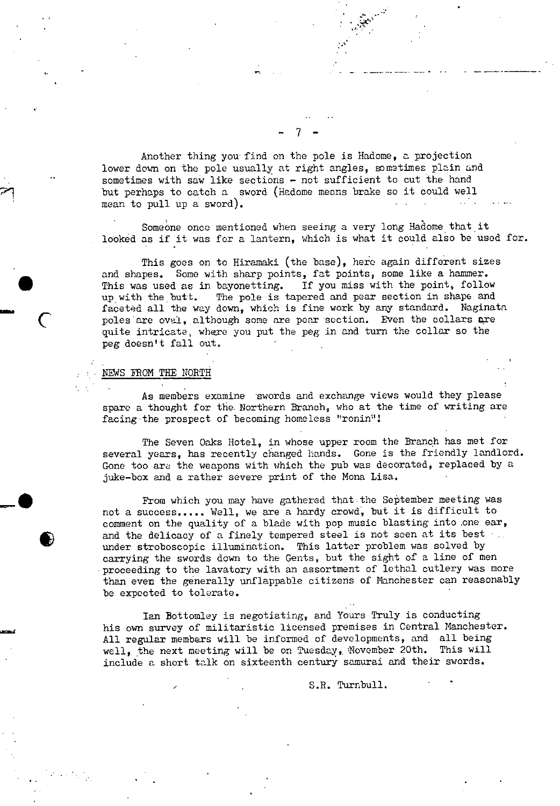Another thing you find on the pole is Hadome, a projection lower down on the pole usually at right angles, sometimes plain and sometimes with saw like sections - not sufficient to cut the hand but perhaps to catch a sword (Hadome means brake so it could well mean to pull up a sword).

 $-7$  -

 $\mathbb{H}$ 

Someone once mentioned when seeing a very long Hadome that it looked as if it was for a lantern, which is what it could also be used for.

This goes on to Hiramaki (the base), here again different sizes and shapes. Some with sharp points, fat points, some like a hammer. This was used as in bayonetting. If you miss with the point, follow up with the butt. The pole is tapered and pear section in shape and faceted all the way down, which is fine work by any standard. Naginata poles are oval, although some are pear section. Even the collars are quite intricate, where you put the peg in and turn the collar so the peg doesn't fall out,

### NEWS FROM THE NORTH

-

As members examine swords and exchange views would they please spare a thought for the. Northern Branch, who at the time of writing are facing the prospect of becoming homeless "ronin"!

The Seven Oaks Hotel, in whose upper room the Branch has met for several years, has recently changed hands. Gone is the friendly landlord. Gone too are the weapons with which the pub was decorated, replaced by a juke-box and a rather severe print of the Mona Lisa.

From which you may have gathered that the September meeting was not a success..... Well, we are a hardy crowd, but it is difficult to comment on the quality of a blade with pop music blasting into one ear, and the delicacy of a finely tempered steel is not seen at its best ... under stroboscopic illumination. This latter problem was solved by carrying the swords down to the Gents, but the sight of a line of men proceeding to the lavatory with an assortment of lethal cutlery was more than even the generally unflappable citizens of Manchester can reasonably be expected to tolerate.

Ian Bottomley is negotiating, and Yours Truly is conducting his own survey of militaristic licensed premises in Central Manchester. All regular members will be informed of developments, and all being well, the next meeting will be on Tuesday, November 20th. This will include a short talk on sixteenth century samurai and their swords.

S.R. Turnbull.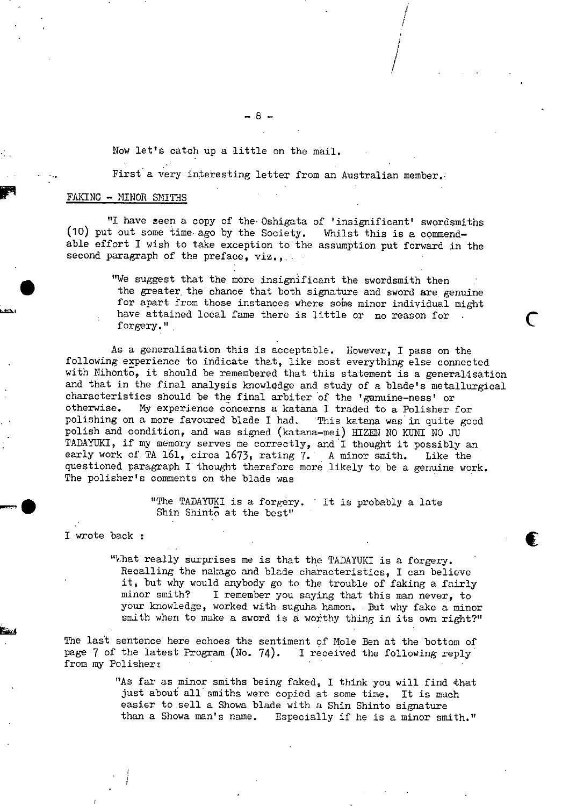Now let's catch up a little on the mail.

First a very interesting letter from an Australian member.

<sup>1</sup>'

**€** 

### FAKING - MINOR SMITHS

"I have teen a copy of the Oshigata of 'insignificant' swordsmiths (10) put out some time ago by the Society. Whilst this is a commendable effort I wish to take exception to the assumption put forward in the second paragraph of the preface, viz.,...

> "We suggest that the more insignificant the swordsmith then the greater, the chance that both signature and sword are genuine for apart from those instances where some minor individual might have attained local fame there is little or no reason for forgery."

As a generalisation this is acceptable. However, I pass on the following experience to indicate that, like most everything else connected with Nihonto, it should be remembered that this statement is a generalisation and that in the final analysis knowlcdge and study of a blade's metallurgical characteristics should be the final arbiter of the 'genuine-ness' or otherwise. My experience concerns a katàna I traded to a Polisher for polishing on a more favoured blade I had. This katana was in quite good polish and condition, and was signed (katana-mei) HIZEN NO KUNI NO JU TADAYUKI, if my memory serves me correctly, and I thought it possibly an early work of TA 161, circa 1673, rating 7. A minor smith. Like the questioned paragraph I thought therefore more likely to be a genuine work. The polisher's comments on the blade was

> "The TADAYUKI is a forgery. It is probably a late Shin Shinto at the best"

I wrote back

"What really surprises me is that the TADAYUKI is a forgery. Recalling the nakago and blade characteristics, I can believe it, but why would anybody go to the trouble of faking a fairly minor smith? I remember you saying that this man never, to your knowledge, worked with suguha hamon. But why fake a minor smith when to make a sword is a worthy thing in its own right?"

The last sentence here echoes the sentiment of Mole Ben at the bottom of page 7 of the latest Program (No. 74). I received the following reply from my Polisher: .

> "As far as minor smiths being faked, I think you will find that just about all smiths were copied at some time. It is much easier to sell a Showa blade with a Shin Shinto signature than a Showa man's name. Especially if he is a minor sm Especially if he is a minor smith."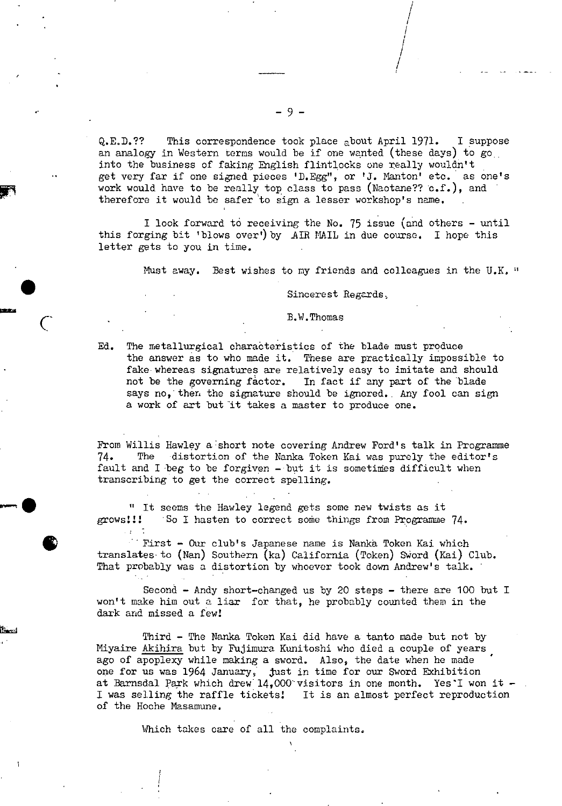QE.D.?? This correspondence took place about April 1971. I suppose an analogy in Western terms would be if one wanted (these days) to go... into the business of faking English flintlocks one really wouldn't get very far if one signed pieces 'D.Egg", or 'J. Manton' etc. as one's work would have to be really top class to pass (Naotane??  $c.f.$  ), and therefore it would be safer to sign a lesser workshop's name.

I look forward to receiving the No. 75 issue (and others - until this forging bit 'blows over') by AIR MAIL in due course. I hope this letter gets to you in time.

Must away. Best wishes to my friends and colleagues in the U.K."

Sincerest Regards,

B. W. Thomas

Ed. The metallurgical charabteristics of the blade must produce the answer as to who made it. These are practically impossible to fake whereas signatures are relatively easy to imitate and should not be the governing factor. In fact if any part of the blade says no, then the signature should be ignored. Any fool can sign a work of art but it takes a master to produce one.

From Willis Hawley a short note covering Andrew Ford's talk in Programme 74. The distortion of the Nanka Token Kai was purely the editor's fault and I beg to be forgiven  $-$  but it is sometimes difficult when transcribing to get the correct spelling.

" It seems the Hawley legend gets some new twists as it grows!!! So I hasten to correct some things from Programme 74.

First - Our club's Japanese name is Nanka Token Kai which translates to (Nan) Southern (ka) California (Token) Sword (Kai) Club. That probably was a distortion by whoever took down Andrew's talk.

Second - Andy short-changed us by 20 steps - there are 100 but I won't make him out a liar for that, he probably counted them in the dark and missed a few!

Third - The Nanka Token Kai did have a tanto made but not by Miyaire Akihira but by Fujimura Kunitoshi who died a couple of years ago of apoplexy while making a sword. Also, the date when he made one for us was  $1964$  January,  $\frac{1}{3}$  just in time for our Sword Exhibition at Barnsdal Park which drew 14,000 visitors in one month. Yes`I won it -I was selling the raffle tickets! It is an almost perfect reproduction of the Hoche Masamune.

Which takes care of all the complaints.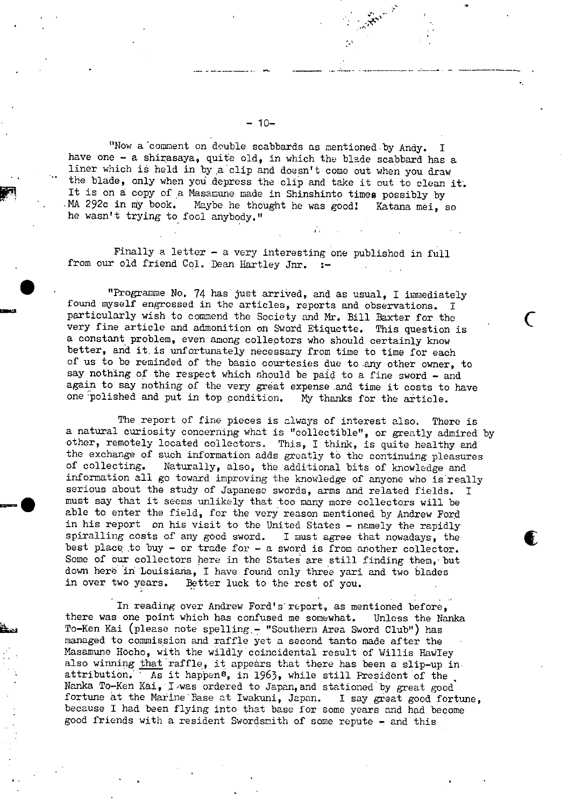"Now a comment on double scabbards as mentioned by Andy. have one - a shirasaya, quite old, in which the blade scabbard has a liner which is held in by a clip and doesn't come out when you draw the blade, only when you depress the clip and take it out to clean it. It is on a copy of a Masamune made in Shinshinto times possibly by<br>MA 292c in my book. Maybe he thought he was good! Katana mei. Maybe he thought he was good! Katana mei, so he wasn't trying to fool anybody,"

Finally a letter - a very interesting one published in full from our old friend Col. Dean Hartley Jnr. :-

"Programme No. 74 has just arrived, and as usual, I immediately found myself engrossed in the articles, reports and observations. I particularly wish to commend the Society and Mr. Bill Baxter for the very fine article and admonition on Sword Etiquette. This question is a constant problem, even among collectors who should certainly know better, and it. is unfortunately necessary from time to time for each of us to be reminded of the basic courtesies due to any other owner, to say nothing of the respect which should be paid to a fine sword - and again to say nothing of the very great expense and time it costs to have one polished and put in top condition. My thanks for the article.

The report of fine pieces is always of interest also. There is a natural curiosity concernipg what is "collectible", or greatly admired by other, remotely located collectors, This, I think, is quite healthy and the exchange of such information adds greatly to the continuing pleasures of collecting. Naturally, also, the additional bits of knowledge and Naturally, also, the additional bits of knowledge and information all go toward improving the knowledge of anyone who isreally serious about the study of Japanese swords, arms and related fields. I must say that it seems unlikely that too many more collectors will be able to enter the field, for the very reason mentioned by Andrew Ford in his report on his visit to the United States - namely the rapidly spiralling costs of any good sword. I must agree that nowadays, the best place to buy - or trade for - a sword is from another collector. Some of our collectors here in the States are still finding them, but down here in Louisiana, I have found only three yari and two blades in over two years. Better luck to the rest of you. Better luck to the rest of you.

In reading over Andrew Ford's report, as mentioned before, there was one point which has confused me somewhat. Unless the Nanka To-Ken Kai (please note spelling,- "Southern Area Sword Club") has managed to commission and raffle yet a second tanto made after the Masamune Hocho, with the wildly coincidental result of Willis Haviley also winning that raffle, it appears that there has been a slip-up in attribution. As it happen<sup>s</sup>, in 1963, while still President of the  $\overline{A}$  as it happen<sup>s</sup>, in 1963, while still President of the Nanka To-Ken Kai, I was ordered to Japan, and stationed by great good fortune at the Marine Base at Iwakuni, Japan. I say great good fortune, because I had been flying into that base for some years and had become good friends with a resident Swordsrnith of some repute - and this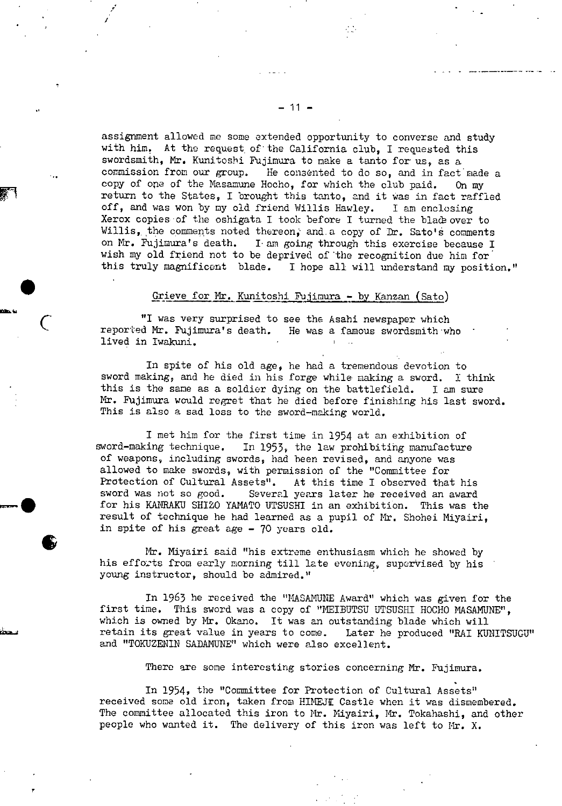assignment allowed me some extended opportunity to converse and study with him. At the request of the California club, I requested this swordsmith, Mr. Kunitoshi Fujimura to make a tanto for us, as a commission from our group. He consented to do so, and in fact made a copy of one of the Nasamune Hocho, for which the club paid. On my return to the States, I brought this tanto, and it was in fact raffled off, and was won by my old friend Willis Hawley. I am enclosing Xerox copies of the oshigata I took before I turned the blace over to Willis, the comments noted thereon, and a copy of Dr. Sato's comments on Mr. Fujimura's death. I am going through this exercise because I wish my old friend not to be deprived of the recognition due him for this truly magnificent blade. I hope all will understand my position."

#### Grieve for Mr. Kunitoshi Thjimura - by Kanzan (Sato)

"I was very surprised to see the Asahi newspaper which reported Mr. Fujimura's death. He was a famous swordsmith who lived in Iwakuni.

In spite of his old age, he had a tremendous devotion to sword making, and he died in his forge while making a sword. I think this is the sane as a soldier dying on the battlefield. I am sure Mr. Fujimura would regret that he died before finishing his last sword. This is also a sad loss to the sword-making world.

I met him for the first time in 1954 at an exhibition of sword-making technique. In 1953, the law prohibiting manufacture In 1953, the law prohibiting manufacture of weapons, including swords, had been revised, and anyone was allowed to make swords, with permission of the "Committee for Protection of Cultural Assets". At this time I observed that At this time I observed that his sword was not so good. Several years later he received an award for his KANRAKU SHIZO YAMATO UTSUSHI in an exhibition. This was the result of technique he had learned as a pupil of Mr. Shohei Miyairi, in spite of his great age - 70 years old.

Mr. Niyairi said "his extreme enthusiasm which he showed by his efforts from early morning till late evening, supervised by his young instructor, should be admired."

In 1963 he received the "MASAMUNE Award" which was given for the first time. This sword was a copy of "MEIBUTSU UTSUSHI HOCHO MASAMUNE", which is owned by Mr. Okano. It was an outstanding blade which will retain its great value in years to come. Later he produced "RAl KUNITSUGU" and "TOKUZENIN SADAMUNE" which were also excellent.

There are some interesting stories concerning Mr. Fujimura.

In 1954, the "Committee for Protection of Cultural Assets" received some old iron, taken from HIMEJI Castle when it was dismembered. The committee allocated this iron to Mr. Miyairi, Mr. Tokahashi, and other people who wanted it. The delivery of this iron was left to Mr. X.

/

7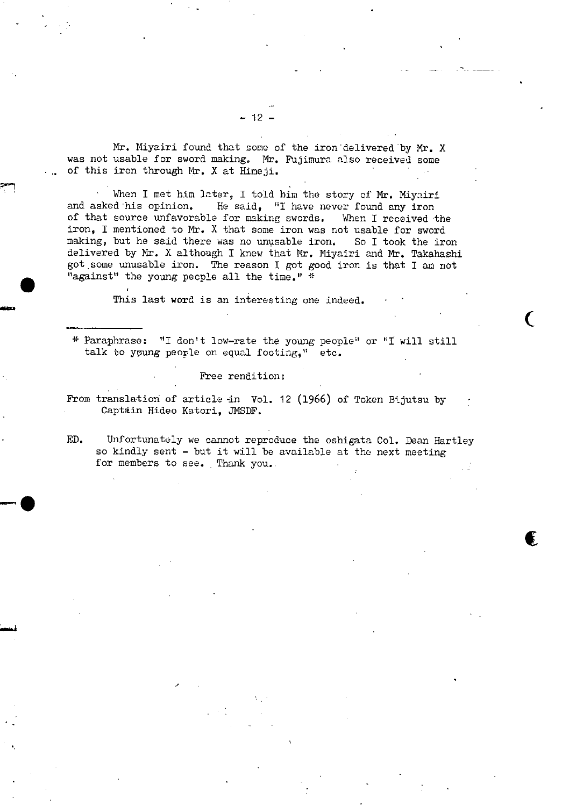Mr. Miyairi found that some of the iron delivered by Mr. X was not usable for sword making. Mr. Fujimura also received some of this iron through Mr. X at Himeji.

When I met him later, I told him the story of Mr. Miyairi and asked his opinion. He said, "I have never found any iron of that source unfavorable for making swords. When I received the iron, I mentioned to Mr. X that some iron was not usable for sword making, but he said there was no unusable iron, So I took the iron delivered by Mr. X although I knew that Mr. Miyairi and Mr. Takahashi got some unusable iron. The reason I got good iron is that I am not "against" the young people all the time." \*

This last word is an interesting one indeed.

**MW** 

\* Paraphrase: "I don't low-rate the young people" or "I will still talk to young peorle on equal footing," etc.

 $\overline{C}$ 

Free rendition:

From translation of article in Vol. 12 (1966) of Token Bijutsu by Captain Hideo Katori, JMSDF.

ED. Unfortunately we cannot reproduce the oshigata Col. Dean Hartley so kindly sent - but it will be available at the next meeting for members to see. Thank you..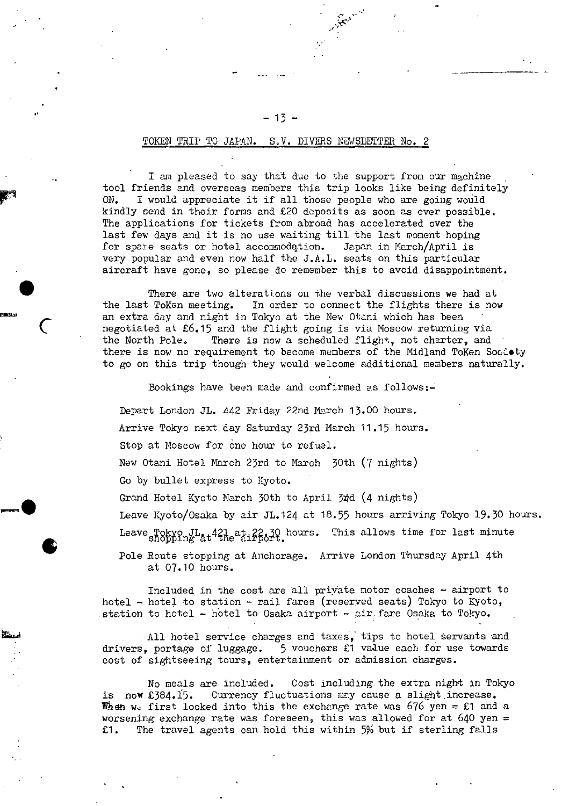### TOKEN TRIP TO JAPAN. S.V. DIVERS NEWSEETTER No. 2

I an pleased to say that due to the support from our machine tool friends and overseas members this trip looks like being definitely ON. I would appreciate it if all those people who are going would kindly send in their forms and £20 deposits as soon as ever possible. The applications for tickets from abroad has accelerated over the last few days and it is no use waiting till the last moment hoping for spaie seats or hotel accommodqtion. Japan in March/April is very popular and even now half the J.A.L. seats on this particular aircraft have gone, so please do remember this to avoid disappointment.

There are two alterations on the verbal discussions we had at the last ToKen meeting. In order to connect the flights there is now an extra day and night in Tokyo at the New Otani which has been negotiated at £6.15 and the flight going is via Moscow returning via the North Pole. There is now a scheduled flight, not charter, and there is now no requirement to become members of the Midland ToKen Socioty to go on this trip though they would welcome additional members naturally.

Bookings have been made and confirmed as follows:-

Depart London JL. 442 Friday 22nd March 13.00 hours.

Arrive Tokyo next day Saturday 23rd March 11.15 hours.

Stop at Moscow for one hour to refuel.

New Otani Hotel March 23rd to March 30th (7 nights)

Go by bullet express to Kyoto.

**t**

Grand Hotel Kyoto March 30th to April 34d (4 nights)

Leave Kyoto/Osaka by air JL.124 at 18.55 hours arriving Tokyo 19.30 hours.

Leave Tokyo JL, +21 at 22.30 hours. This allows time for last minute<br>shopping at the airport.

Pole Route stopping at Anchorage. Arrive London Thursday April 4th at 07.10 hours.

Included in the cost are all private motor coaches - airport to hotel - hotel to station - rail fares (reserved seats) Tokyo to Kyoto, station to hotel  $-$  hotel to Osaka airport  $-$  air. fare Osaka to Tokyo.

All hotel service charges and taxes, tips to hotel servants and drivers, portage of luggage. 5 vouchers £1 value each for use towards cost of sightseeing tours, entertainment or admission charges.

No meals are included. Cost including the extra night in Tokyo is now  $£384.15.$  Currency fluctuations may cause a slight increase. When we first looked into this the exchange rate was  $676$  yen = £1 and a worsening exchange rate was foreseen, this was allowed for at 640 yen = £1. The travel agents can hold this within 5% but if sterling falls

### - 13 -